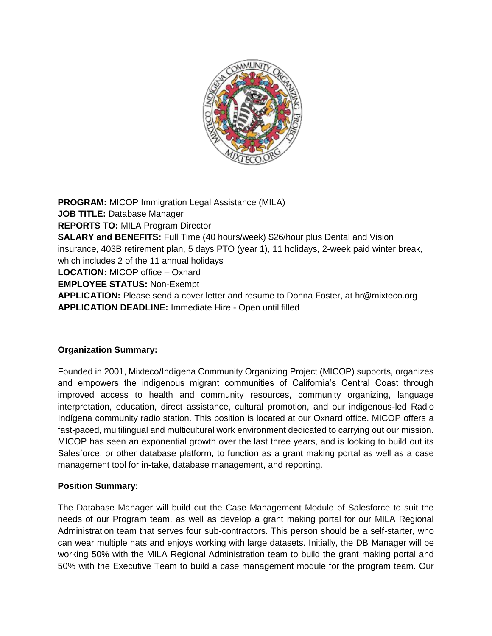

**PROGRAM:** MICOP Immigration Legal Assistance (MILA) **JOB TITLE:** Database Manager **REPORTS TO:** MILA Program Director **SALARY and BENEFITS:** Full Time (40 hours/week) \$26/hour plus Dental and Vision insurance, 403B retirement plan, 5 days PTO (year 1), 11 holidays, 2-week paid winter break, which includes 2 of the 11 annual holidays **LOCATION:** MICOP office – Oxnard **EMPLOYEE STATUS:** Non-Exempt **APPLICATION:** Please send a cover letter and resume to Donna Foster, at hr@mixteco.org **APPLICATION DEADLINE:** Immediate Hire - Open until filled

## **Organization Summary:**

Founded in 2001, Mixteco/Indígena Community Organizing Project (MICOP) supports, organizes and empowers the indigenous migrant communities of California's Central Coast through improved access to health and community resources, community organizing, language interpretation, education, direct assistance, cultural promotion, and our indigenous-led Radio Indígena community radio station. This position is located at our Oxnard office. MICOP offers a fast-paced, multilingual and multicultural work environment dedicated to carrying out our mission. MICOP has seen an exponential growth over the last three years, and is looking to build out its Salesforce, or other database platform, to function as a grant making portal as well as a case management tool for in-take, database management, and reporting.

## **Position Summary:**

The Database Manager will build out the Case Management Module of Salesforce to suit the needs of our Program team, as well as develop a grant making portal for our MILA Regional Administration team that serves four sub-contractors. This person should be a self-starter, who can wear multiple hats and enjoys working with large datasets. Initially, the DB Manager will be working 50% with the MILA Regional Administration team to build the grant making portal and 50% with the Executive Team to build a case management module for the program team. Our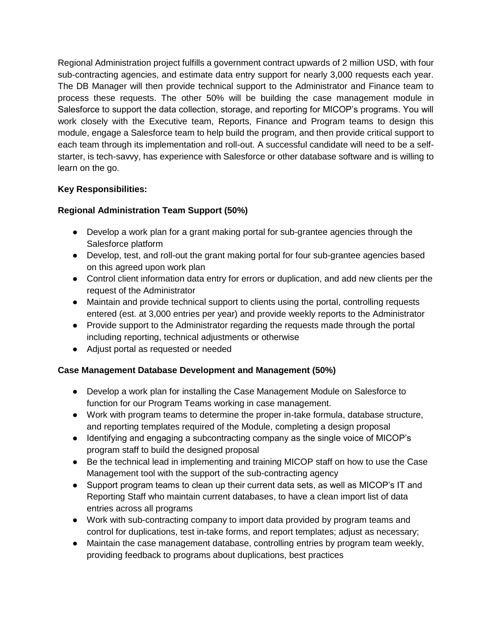Regional Administration project fulfills a government contract upwards of 2 million USD, with four sub-contracting agencies, and estimate data entry support for nearly 3,000 requests each year. The DB Manager will then provide technical support to the Administrator and Finance team to process these requests. The other 50% will be building the case management module in Salesforce to support the data collection, storage, and reporting for MICOP's programs. You will work closely with the Executive team, Reports, Finance and Program teams to design this module, engage a Salesforce team to help build the program, and then provide critical support to each team through its implementation and roll-out. A successful candidate will need to be a selfstarter, is tech-savvy, has experience with Salesforce or other database software and is willing to learn on the go.

## **Key Responsibilities:**

# **Regional Administration Team Support (50%)**

- Develop a work plan for a grant making portal for sub-grantee agencies through the Salesforce platform
- Develop, test, and roll-out the grant making portal for four sub-grantee agencies based on this agreed upon work plan
- Control client information data entry for errors or duplication, and add new clients per the request of the Administrator
- Maintain and provide technical support to clients using the portal, controlling requests entered (est. at 3,000 entries per year) and provide weekly reports to the Administrator
- Provide support to the Administrator regarding the requests made through the portal including reporting, technical adjustments or otherwise
- Adjust portal as requested or needed

# **Case Management Database Development and Management (50%)**

- Develop a work plan for installing the Case Management Module on Salesforce to function for our Program Teams working in case management.
- Work with program teams to determine the proper in-take formula, database structure, and reporting templates required of the Module, completing a design proposal
- Identifying and engaging a subcontracting company as the single voice of MICOP's program staff to build the designed proposal
- Be the technical lead in implementing and training MICOP staff on how to use the Case Management tool with the support of the sub-contracting agency
- Support program teams to clean up their current data sets, as well as MICOP's IT and Reporting Staff who maintain current databases, to have a clean import list of data entries across all programs
- Work with sub-contracting company to import data provided by program teams and control for duplications, test in-take forms, and report templates; adjust as necessary;
- Maintain the case management database, controlling entries by program team weekly, providing feedback to programs about duplications, best practices